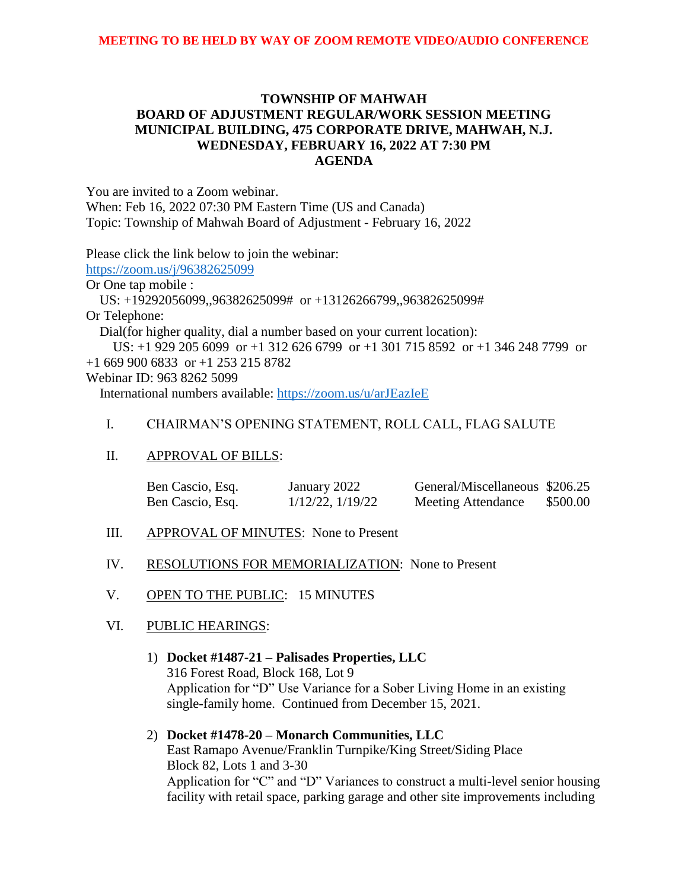# **TOWNSHIP OF MAHWAH BOARD OF ADJUSTMENT REGULAR/WORK SESSION MEETING MUNICIPAL BUILDING, 475 CORPORATE DRIVE, MAHWAH, N.J. WEDNESDAY, FEBRUARY 16, 2022 AT 7:30 PM AGENDA**

You are invited to a Zoom webinar.

When: Feb 16, 2022 07:30 PM Eastern Time (US and Canada) Topic: Township of Mahwah Board of Adjustment - February 16, 2022

Please click the link below to join the webinar:

<https://zoom.us/j/96382625099>

Or One tap mobile :

 US: +19292056099,,96382625099# or +13126266799,,96382625099# Or Telephone:

Dial(for higher quality, dial a number based on your current location):

 US: +1 929 205 6099 or +1 312 626 6799 or +1 301 715 8592 or +1 346 248 7799 or +1 669 900 6833 or +1 253 215 8782

#### Webinar ID: 963 8262 5099

International numbers available:<https://zoom.us/u/arJEazIeE>

## I. CHAIRMAN'S OPENING STATEMENT, ROLL CALL, FLAG SALUTE

## II. APPROVAL OF BILLS:

| Ben Cascio, Esq. | January 2022          | General/Miscellaneous \$206.25 |          |
|------------------|-----------------------|--------------------------------|----------|
| Ben Cascio, Esq. | $1/12/22$ , $1/19/22$ | <b>Meeting Attendance</b>      | \$500.00 |

- III. APPROVAL OF MINUTES: None to Present
- IV. RESOLUTIONS FOR MEMORIALIZATION: None to Present
- V. OPEN TO THE PUBLIC: 15 MINUTES

## VI. PUBLIC HEARINGS:

1) **Docket #1487-21 – Palisades Properties, LLC** 316 Forest Road, Block 168, Lot 9 Application for "D" Use Variance for a Sober Living Home in an existing single-family home. Continued from December 15, 2021.

2) **Docket #1478-20 – Monarch Communities, LLC**  East Ramapo Avenue/Franklin Turnpike/King Street/Siding Place Block 82, Lots 1 and 3-30 Application for "C" and "D" Variances to construct a multi-level senior housing facility with retail space, parking garage and other site improvements including